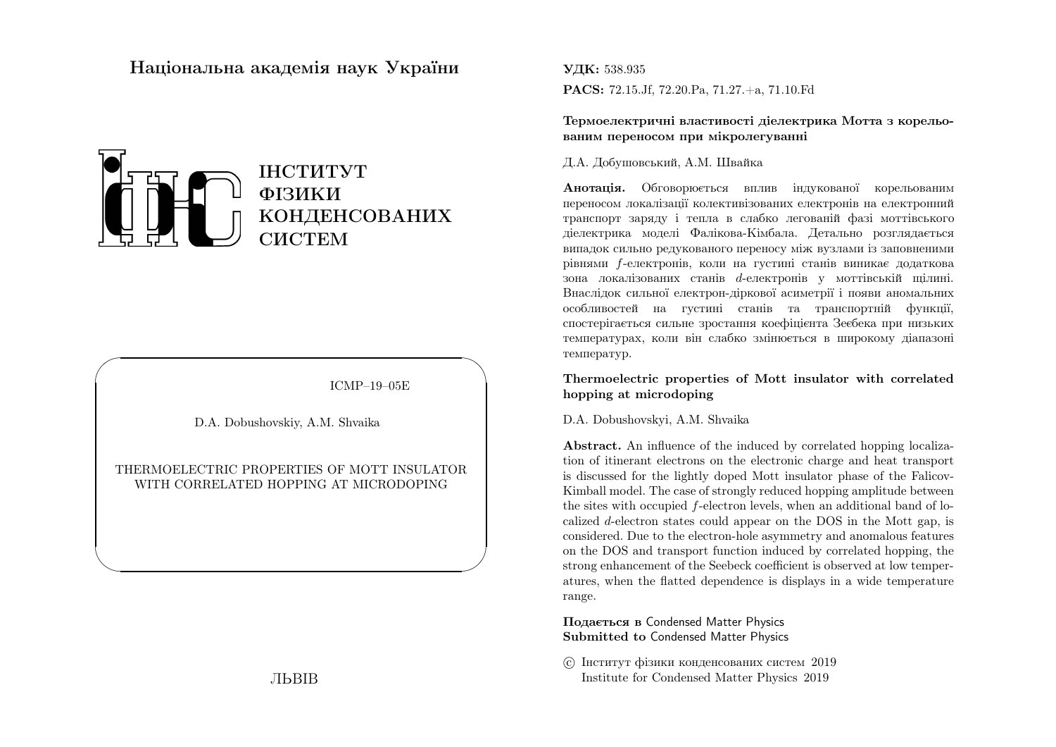# Нацiональна академiя наук України



ICMP–19–05E

✩

 $\overline{\phantom{a}}$ 

D.A. Dobushovskiy, A.M. Shvaika

 $\sqrt{a}$ 

 $\setminus$ 

THERMOELECTRIC PROPERTIES OF MOTT INSULATORWITH CORRELATED HOPPING AT MICRODOPING

ЛЬВIВ

#### УДК: 538.935

PACS: 72.15.Jf, 72.20.Pa, 71.27.+a, 71.10.Fd

Термоелектричнi властивостi дiелектрика Мотта <sup>з</sup> корельованим переносом при мiкролегуваннi

#### Д.А. Добушовський, А.М. Швайка

**Анотація.** Обговорюється вплив індукованої корельованим переносом локалiзацiї колективiзованих електронiв на електронни<sup>й</sup> транспорт заряду <sup>i</sup> тепла <sup>в</sup> слабко легованiй фазi моттiвського дiелектрика моделi Фалiкова-Кiмбала. Детально розглядається випадок сильно редукованого переносу мiж вузлами iз заповненимирiвнями  $f$ -електронiв, коли на густинi станiв виникає додаткова зона локалізованих станів  $d$ -електронів у моттівській щілині. Внаслiдок сильної електрон-дiркової асиметрiї <sup>i</sup> появи аномальних особливостей на густин<sup>i</sup> станiв та транспортнiй функцiї, спостерiгається сильне зростання коефiцiєнта Зеєбека при низьких температурах, коли вiн слабко змiнюється <sup>в</sup> широкому дiапазонi температур.

### Thermoelectric properties of Mott insulator with correlatedhopping at microdoping

#### D.A. Dobushovskyi, A.M. Shvaika

Abstract. An influence of the induced by correlated hopping localization of itinerant electrons on the electronic charge and heat transport is discussed for the lightly doped Mott insulator <sup>p</sup>hase of the Falicov-Kimball model. The case of strongly reduced hopping amplitude betweenthe sites with occupied  $f$ -electron levels, when an additional band of localized  $d$ -electron states could appear on the DOS in the Mott gap, is considered. Due to the electron-hole asymmetry and anomalous features on the DOS and transport function induced by correlated hopping, the strong enhancement of the Seebeck coefficient is observed at low temperatures, when the flatted dependence is displays in <sup>a</sup> wide temperaturerange.

Подається <sup>в</sup> Condensed Matter Physics Submitted to Condensed Matter Physics

 c Iнститут фiзики конденсованих систем <sup>2019</sup>Institute for Condensed Matter Physics <sup>2019</sup>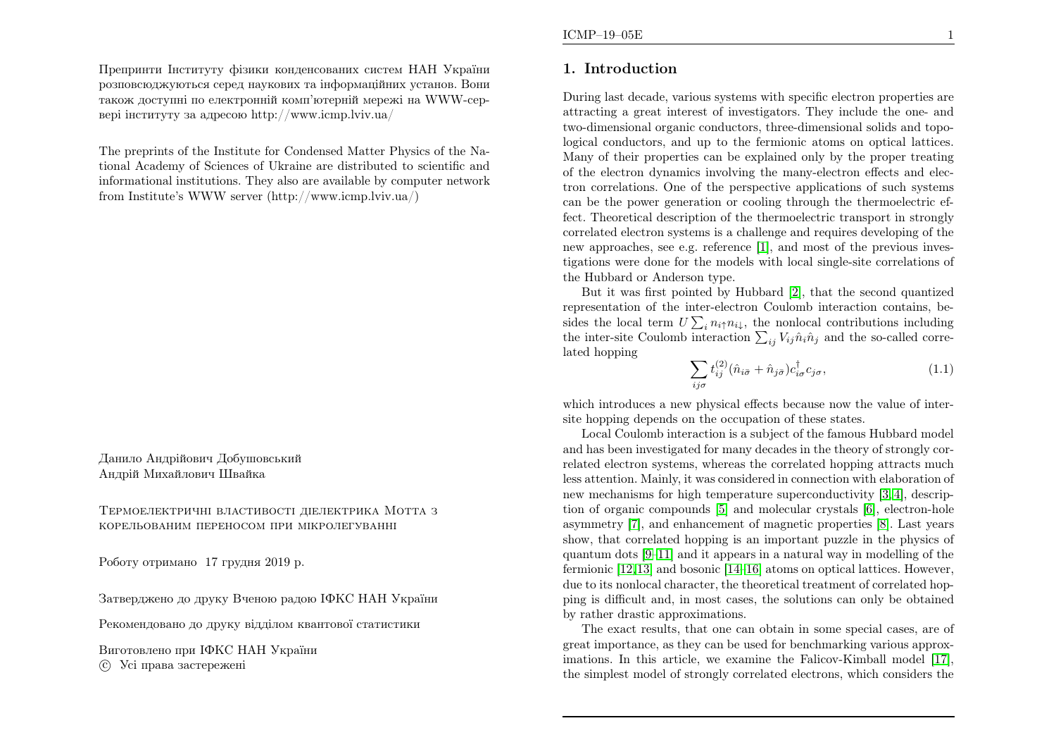Препринти Iнституту фiзики конденсованих систем НАН України розповсюджуються серед наукових та iнформацiйних установ. Вони також доступн<sup>i</sup> по електроннiй комп'ютернiй мереж<sup>i</sup> на WWW-сервер<sup>i</sup> iнституту за адресою http://www.icmp.lviv.ua/

The preprints of the Institute for Condensed Matter Physics of the National Academy of Sciences of Ukraine are distributed to scientific and informational institutions. They also are available by computer networkfrom Institute's WWW server (http://www.icmp.lviv.ua/)

Данило Андрiйович ДобушовськийАндрiй Михайлович Швайка

Термоелектричнi властивостi дiелектрика Мотта <sup>з</sup>корельованим переносом при мiкролегуваннi

Роботу отримано <sup>17</sup> грудня <sup>2019</sup> р.

Затверджено до друку Вченою радою IФКС НАН України

Рекомендовано до друку вiддiлом квантової статистики

Виготовлено при IФКС НАН Україниc Усi права застережен<sup>i</sup>

# 1. Introduction

During last decade, various systems with specific electron properties are attracting <sup>a</sup> great interest of investigators. They include the one- and two-dimensional organic conductors, three-dimensional solids and topological conductors, and up to the fermionic atoms on optical lattices. Many of their properties can be explained only by the proper treating of the electron dynamics involving the many-electron effects and electron correlations. One of the perspective applications of such systems can be the power generation or cooling through the thermoelectric effect. Theoretical description of the thermoelectric transport in strongly correlated electron systems is <sup>a</sup> challenge and requires developing of the new approaches, see e.g. reference [\[1\]](#page-9-0), and most of the previous investigations were done for the models with local single-site correlations of the Hubbard or Anderson type.

But it was first pointed by Hubbard [\[2\]](#page-9-1), that the second quantized representation of the inter-electron Coulomb interaction contains, besides the local term  $U\sum_i n_i \uparrow n_i \downarrow$ , the nonlocal contributions including the inter-site Coulomb interaction  $\sum_{ij}V_{ij}\hat{n}_i\hat{n}_j$  and the so-called correlated hopping

$$
\sum_{ij\sigma} t_{ij}^{(2)} (\hat{n}_{i\bar{\sigma}} + \hat{n}_{j\bar{\sigma}}) c_{i\sigma}^{\dagger} c_{j\sigma}, \qquad (1.1)
$$

which introduces <sup>a</sup> new <sup>p</sup>hysical effects because now the value of intersite hopping depends on the occupation of these states.

Local Coulomb interaction is <sup>a</sup> subject of the famous Hubbard model and has been investigated for many decades in the theory of strongly correlated electron systems, whereas the correlated hopping attracts much less attention. Mainly, it was considered in connection with elaboration of new mechanisms for high temperature superconductivity [\[3,](#page-9-2) [4\]](#page-9-3), description of organic compounds [\[5\]](#page-9-4) and molecular crystals [\[6\]](#page-9-5), electron-hole asymmetry [\[7\]](#page-10-0), and enhancement of magnetic properties [\[8\]](#page-10-1). Last years show, that correlated hopping is an important puzzle in the <sup>p</sup>hysics of quantum dots [\[9–](#page-10-2)[11\]](#page-10-3) and it appears in <sup>a</sup> natural way in modelling of the fermionic [\[12](#page-10-4),[13\]](#page-10-5) and bosonic [\[14](#page-10-6)[–16\]](#page-10-7) atoms on optical lattices. However, due to its nonlocal character, the theoretical treatment of correlated hop<sup>p</sup>ing is difficult and, in most cases, the solutions can only be obtainedby rather drastic approximations.

The exact results, that one can obtain in some special cases, are of great importance, as they can be used for benchmarking various approximations. In this article, we examine the Falicov-Kimball model [\[17\]](#page-10-8), the simplest model of strongly correlated electrons, which considers the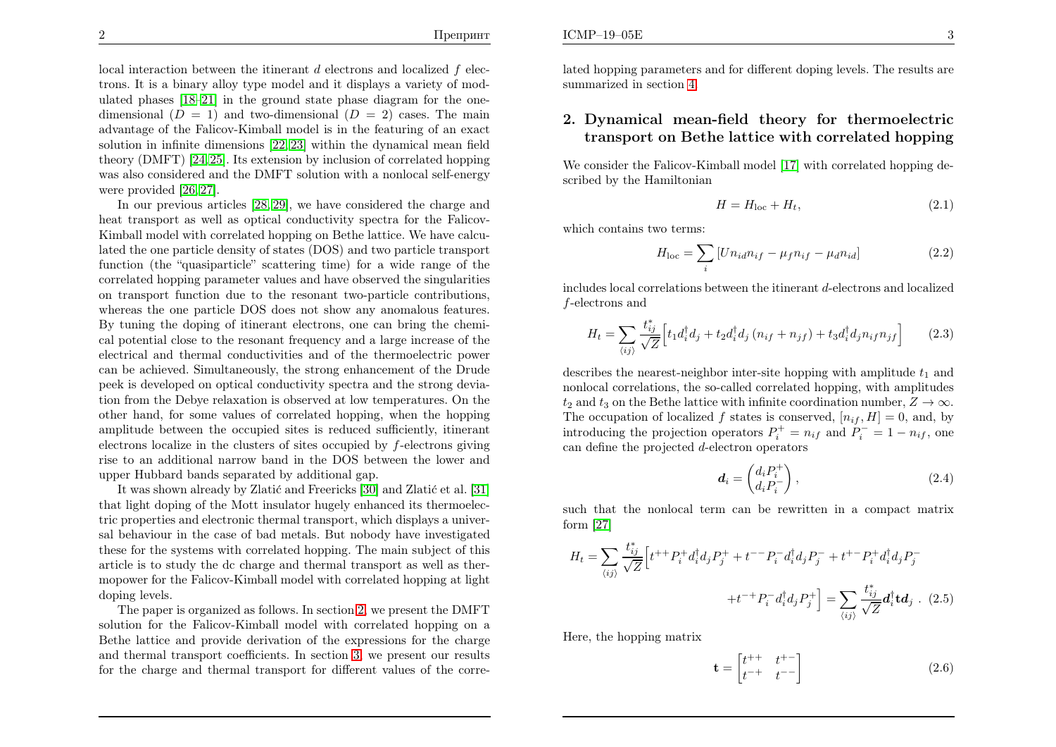local interaction between the itinerant  $d$  electrons and localized  $f$  elec- trons. It is <sup>a</sup> binary alloy type model and it displays <sup>a</sup> variety of modulated <sup>p</sup>hases [\[18–](#page-10-9)[21\]](#page-10-10) in the ground state <sup>p</sup>hase diagram for the onedimensional  $(D = 1)$  and two-dimensional  $(D = 2)$  cases. The main advantage of the Falicov-Kimball model is in the featuring of an exact solution in infinite dimensions [\[22](#page-10-11), [23\]](#page-10-12) within the dynamical mean field theory (DMFT) [\[24,](#page-10-13)[25\]](#page-10-14). Its extension by inclusion of correlated hopping was also considered and the DMFT solution with <sup>a</sup> nonlocal self-energywere provided [\[26,](#page-10-15) [27\]](#page-10-16).

In our previous articles [\[28,](#page-10-17) [29\]](#page-10-18), we have considered the charge and heat transport as well as optical conductivity spectra for the Falicov-Kimball model with correlated hopping on Bethe lattice. We have calculated the one particle density of states (DOS) and two particle transport function (the "quasiparticle" scattering time) for <sup>a</sup> wide range of the correlated hopping parameter values and have observed the singularities on transport function due to the resonant two-particle contributions, whereas the one particle DOS does not show any anomalous features. By tuning the doping of itinerant electrons, one can bring the chemical potential close to the resonant frequency and <sup>a</sup> large increase of the electrical and thermal conductivities and of the thermoelectric power can be achieved. Simultaneously, the strong enhancement of the Drude pee<sup>k</sup> is developed on optical conductivity spectra and the strong deviation from the Debye relaxation is observed at low temperatures. On the other hand, for some values of correlated hopping, when the hopping amplitude between the occupied sites is reduced sufficiently, itinerantelectrons localize in the clusters of sites occupied by  $f$ -electrons giving rise to an additional narrow band in the DOS between the lower andupper Hubbard bands separated by additional gap.

It was shown already by Zlatić and Freericks [\[30\]](#page-10-19) and Zlatić et al. [\[31\]](#page-10-20) that light doping of the Mott insulator hugely enhanced its thermoelectric properties and electronic thermal transport, which displays <sup>a</sup> universal behaviour in the case of bad metals. But nobody have investigated these for the systems with correlated hopping. The main subject of this article is to study the dc charge and thermal transport as well as thermopower for the Falicov-Kimball model with correlated hopping at lightdoping levels.

The paper is organized as follows. In section [2](#page-2-0), we present the DMFT solution for the Falicov-Kimball model with correlated hopping on <sup>a</sup> Bethe lattice and provide derivation of the expressions for the charge and thermal transport coefficients. In section [3,](#page-5-0) we present our resultsfor the charge and thermal transport for different values of the correlated hopping parameters and for different doping levels. The results are summarized in section [4.](#page-9-6)

## 2. Dynamical mean-field theory for thermoelectrictransport on Bethe lattice with correlated hopping

We consider the Falicov-Kimball model [\[17\]](#page-10-8) with correlated hopping described by the Hamiltonian

<span id="page-2-0"></span>
$$
H = H_{\text{loc}} + H_t,\tag{2.1}
$$

which contains two terms:

$$
H_{\text{loc}} = \sum_{i} \left[ U n_{id} n_{if} - \mu_f n_{if} - \mu_d n_{id} \right] \tag{2.2}
$$

includes local correlations between the itinerant  $d$ -electrons and localized f-electrons and

$$
H_t = \sum_{\langle ij \rangle} \frac{t_{ij}^*}{\sqrt{Z}} \Big[ t_1 d_i^\dagger d_j + t_2 d_i^\dagger d_j \left( n_{if} + n_{jf} \right) + t_3 d_i^\dagger d_j n_{if} n_{jf} \Big] \tag{2.3}
$$

describes the nearest-neighbor inter-site hopping with amplitude  $t_1$  and nonlocal correlations, the so-called correlated hopping, with amplitudes $t_2$  and  $t_3$  on the Bethe lattice with infinite coordination number,  $Z \to \infty$ . The occupation of localized f states is conserved,  $[n_{if}, H] = 0$ , and, by introducing the projection operators  $P_i^+ = n_{if}$  and  $P_i^- = 1 - n_{if}$ , one can define the projected  $d$ -electron operators

$$
\boldsymbol{d}_{i} = \begin{pmatrix} d_{i}P_{i}^{+} \\ d_{i}P_{i}^{-} \end{pmatrix},\tag{2.4}
$$

such that the nonlocal term can be rewritten in <sup>a</sup> compact matrixform [\[27\]](#page-10-16)

$$
H_t = \sum_{\langle ij \rangle} \frac{t_{ij}^*}{\sqrt{Z}} \Big[ t^{++} P_i^+ d_i^\dagger d_j P_j^+ + t^{--} P_i^- d_i^\dagger d_j P_j^- + t^{+-} P_i^+ d_i^\dagger d_j P_j^- + t^{+-} P_i^- d_i^\dagger d_j P_j^+ \Big] = \sum_{\langle ij \rangle} \frac{t_{ij}^*}{\sqrt{Z}} d_i^\dagger \mathbf{t} d_j \quad (2.5)
$$

Here, the hopping matrix

$$
\mathbf{t} = \begin{bmatrix} t^{++} & t^{+-} \\ t^{-+} & t^{--} \end{bmatrix} \tag{2.6}
$$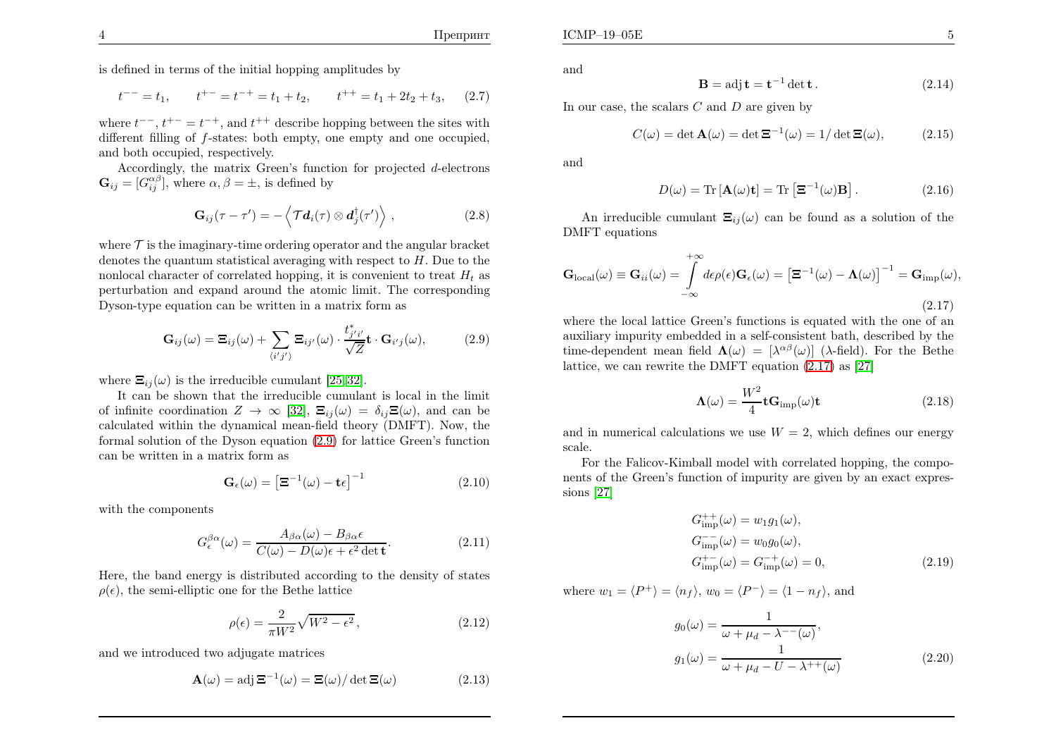$\mathbf{E}$  5

is defined in terms of the initial hopping amplitudes by

$$
t^{--} = t_1
$$
,  $t^{+-} = t^{-+} = t_1 + t_2$ ,  $t^{++} = t_1 + 2t_2 + t_3$ , (2.7)

where  $t^{\text{--}}$ ,  $t^{\text{+-}} = t^{-+}$ , and  $t^{++}$  describe hopping between the sites with different filling of f-states: both empty, one empty and one occupied, and both occupied, respectively.

Accordingly, the matrix Green's function for projected d-electrons  $\mathbf{G}_{ij} = [G_{ij}^{\alpha\beta}],$  where  $\alpha, \beta = \pm$ , is defined by

$$
\mathbf{G}_{ij}(\tau-\tau')=-\left\langle\mathcal{T}\boldsymbol{d}_{i}(\tau)\otimes\boldsymbol{d}_{j}^{\dagger}(\tau')\right\rangle, \qquad (2.8)
$$

where  $\mathcal T$  is the imaginary-time ordering operator and the angular bracket denotes the quantum statistical averaging with respect to  $H$ . Due to the nonlocal character of correlated hopping, it is convenient to treat  $H_t$  as perturbation and expand around the atomic limit. The correspondingDyson-type equation can be written in <sup>a</sup> matrix form as

$$
\mathbf{G}_{ij}(\omega) = \mathbf{\Xi}_{ij}(\omega) + \sum_{\langle i'j' \rangle} \mathbf{\Xi}_{ij'}(\omega) \cdot \frac{t_{j'i'}^*}{\sqrt{Z}} \mathbf{t} \cdot \mathbf{G}_{i'j}(\omega), \tag{2.9}
$$

where  $\Xi_{ij}(\omega)$  is the irreducible cumulant [\[25,](#page-10-14) [32\]](#page-10-21).

 It can be shown that the irreducible cumulant is local in the limitof infinite coordination  $Z \to \infty$  [\[32\]](#page-10-21),  $\Xi_{ij}(\omega) = \delta_{ij} \Xi(\omega)$ , and can be calculated within the dynamical mean-field theory (DMFT). Now the calculated within the dynamical mean-field theory (DMFT). Now, the formal solution of the Dyson equation [\(2.9\)](#page-3-0) for lattice Green's functioncan be written in <sup>a</sup> matrix form as

$$
\mathbf{G}_{\epsilon}(\omega) = \left[\mathbf{\Xi}^{-1}(\omega) - \mathbf{t}\epsilon\right]^{-1} \tag{2.10}
$$

with the components

$$
G_{\epsilon}^{\beta\alpha}(\omega) = \frac{A_{\beta\alpha}(\omega) - B_{\beta\alpha}\epsilon}{C(\omega) - D(\omega)\epsilon + \epsilon^2 \det \mathbf{t}}.
$$
 (2.11)

Here, the band energy is distributed according to the density of states $\rho(\epsilon)$ , the semi-elliptic one for the Bethe lattice

$$
\rho(\epsilon) = \frac{2}{\pi W^2} \sqrt{W^2 - \epsilon^2},\tag{2.12}
$$

and we introduced two adjugate matrices

$$
\mathbf{A}(\omega) = \text{adj}\,\mathbf{\Xi}^{-1}(\omega) = \mathbf{\Xi}(\omega) / \det \mathbf{\Xi}(\omega)
$$
 (2.13)

and

$$
\mathbf{B} = \text{adj}\,\mathbf{t} = \mathbf{t}^{-1}\,\text{det}\,\mathbf{t} \,. \tag{2.14}
$$

In our case, the scalars  $C$  and  $D$  are given by

$$
C(\omega) = \det \mathbf{A}(\omega) = \det \mathbf{\Xi}^{-1}(\omega) = 1/\det \mathbf{\Xi}(\omega), \tag{2.15}
$$

and

<span id="page-3-1"></span>
$$
D(\omega) = \text{Tr} [\mathbf{A}(\omega)\mathbf{t}] = \text{Tr} [\mathbf{\Xi}^{-1}(\omega)\mathbf{B}]. \qquad (2.16)
$$

An irreducible cumulant  $\Xi_{ij}(\omega)$  can be found as a solution of the DMFT equations

$$
\mathbf{G}_{\text{local}}(\omega) \equiv \mathbf{G}_{ii}(\omega) = \int_{-\infty}^{+\infty} d\epsilon \rho(\epsilon) \mathbf{G}_{\epsilon}(\omega) = \left[\mathbf{\Xi}^{-1}(\omega) - \mathbf{\Lambda}(\omega)\right]^{-1} = \mathbf{G}_{\text{imp}}(\omega),
$$
\n(2.17)

<span id="page-3-3"></span> where the local lattice Green's functions is equated with the one of an auxiliary impurity embedded in <sup>a</sup> self-consistent bath, described by thetime-dependent mean field  $\mathbf{\Lambda}(\omega) = [\lambda^{\alpha\beta}(\omega)]$  ( $\lambda$ -field). For the Bethe lattice, we can rewrite the DMFT equation [\(2.17\)](#page-3-1) as [\[27\]](#page-10-16)

$$
\Lambda(\omega) = \frac{W^2}{4} \mathbf{t} \mathbf{G}_{\text{imp}}(\omega) \mathbf{t}
$$
 (2.18)

and in numerical calculations we use  $W = 2$ , which defines our energy scale scale.

<span id="page-3-2"></span>For the Falicov-Kimball model with correlated hopping, the components of the Green's function of impurity are <sup>g</sup>iven by an exact expressions [\[27\]](#page-10-16)

<span id="page-3-0"></span>
$$
G_{\text{imp}}^{++}(\omega) = w_1 g_1(\omega), G_{\text{imp}}^{-}(\omega) = w_0 g_0(\omega), G_{\text{imp}}^{+-}(\omega) = G_{\text{imp}}^{-+}(\omega) = 0,
$$
 (2.19)

where  $w_1 = \langle P^+ \rangle = \langle n_f \rangle$ ,  $w_0 = \langle P^- \rangle = \langle 1 - n_f \rangle$ , and

$$
g_0(\omega) = \frac{1}{\omega + \mu_d - \lambda^{--(\omega)}},
$$
  
\n
$$
g_1(\omega) = \frac{1}{\omega + \mu_d - U - \lambda^{++}(\omega)}
$$
\n(2.20)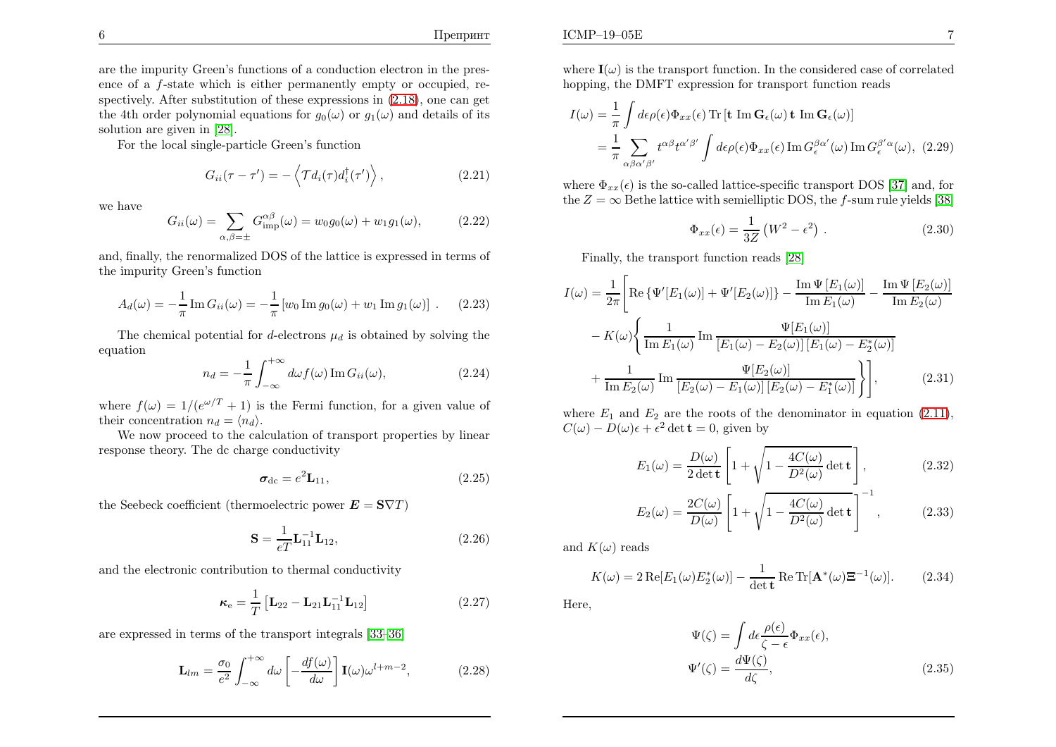are the impurity Green's functions of <sup>a</sup> conduction electron in the presence of a  $f$ -state which is either permanently empty or occupied, re spectively. After substitution of these expressions in [\(2.18\)](#page-3-2), one can getthe 4th order polynomial equations for  $g_0(\omega)$  or  $g_1(\omega)$  and details of its solution are <sup>g</sup>iven in [\[28\]](#page-10-17).

For the local single-particle Green's function

$$
G_{ii}(\tau - \tau') = -\left\langle \mathcal{T}d_i(\tau)d_i^{\dagger}(\tau') \right\rangle, \tag{2.21}
$$

we have

$$
G_{ii}(\omega) = \sum_{\alpha,\beta=\pm} G_{\text{imp}}^{\alpha\beta}(\omega) = w_0 g_0(\omega) + w_1 g_1(\omega), \quad (2.22)
$$

and, finally, the renormalized DOS of the lattice is expressed in terms of the impurity Green's function

$$
A_d(\omega) = -\frac{1}{\pi} \operatorname{Im} G_{ii}(\omega) = -\frac{1}{\pi} \left[ w_0 \operatorname{Im} g_0(\omega) + w_1 \operatorname{Im} g_1(\omega) \right] . \tag{2.23}
$$

The chemical potential for d-electrons  $\mu_d$  is obtained by solving the equation

$$
n_d = -\frac{1}{\pi} \int_{-\infty}^{+\infty} d\omega f(\omega) \operatorname{Im} G_{ii}(\omega), \qquad (2.24)
$$

where  $f(\omega) = 1/(e^{\omega/T} + 1)$  is the Fermi function, for a given value of their concentration  $n_d = \langle n_d \rangle$ .

 We now proceed to the calculation of transport properties by linear response theory. The dc charge conductivity

<span id="page-4-1"></span>
$$
\boldsymbol{\sigma}_{\rm dc} = e^2 \mathbf{L}_{11},\tag{2.25}
$$

the Seebeck coefficient (thermoelectric power  $\mathbf{E}=\mathbf{S}\nabla T$ )

$$
\mathbf{S} = \frac{1}{eT} \mathbf{L}_{11}^{-1} \mathbf{L}_{12},\tag{2.26}
$$

and the electronic contribution to thermal conductivity

$$
\kappa_{\rm e} = \frac{1}{T} \left[ L_{22} - L_{21} L_{11}^{-1} L_{12} \right]
$$
 (2.27)

are expressed in terms of the transport integrals [\[33](#page-10-22)[–36\]](#page-10-7)

$$
\mathbf{L}_{lm} = \frac{\sigma_0}{e^2} \int_{-\infty}^{+\infty} d\omega \left[ -\frac{df(\omega)}{d\omega} \right] \mathbf{I}(\omega) \omega^{l+m-2}, \tag{2.28}
$$

where  $\mathbf{I}(\omega)$  is the transport function. In the considered case of correlated hopping, the DMFT expression for transport function reads

$$
I(\omega) = \frac{1}{\pi} \int d\epsilon \rho(\epsilon) \Phi_{xx}(\epsilon) \operatorname{Tr} \left[ \mathbf{t} \operatorname{Im} \mathbf{G}_{\epsilon}(\omega) \mathbf{t} \operatorname{Im} \mathbf{G}_{\epsilon}(\omega) \right]
$$
  
= 
$$
\frac{1}{\pi} \sum_{\alpha \beta \alpha' \beta'} t^{\alpha \beta} t^{\alpha' \beta'} \int d\epsilon \rho(\epsilon) \Phi_{xx}(\epsilon) \operatorname{Im} G_{\epsilon}^{\beta \alpha'}(\omega) \operatorname{Im} G_{\epsilon}^{\beta' \alpha}(\omega), (2.29)
$$

where  $\Phi_{xx}(\epsilon)$  is the so-called lattice-specific transport DOS [\[37\]](#page-10-23) and, for the  $Z=\infty$  Bethe lattice with semielliptic DOS, the f-sum rule yields [\[38\]](#page-10-24)

$$
\Phi_{xx}(\epsilon) = \frac{1}{3Z} \left( W^2 - \epsilon^2 \right) . \tag{2.30}
$$

Finally, the transport function reads [\[28\]](#page-10-17)

$$
I(\omega) = \frac{1}{2\pi} \left[ \operatorname{Re} \left\{ \Psi'[E_1(\omega)] + \Psi'[E_2(\omega)] \right\} - \frac{\operatorname{Im} \Psi [E_1(\omega)]}{\operatorname{Im} E_1(\omega)} - \frac{\operatorname{Im} \Psi [E_2(\omega)]}{\operatorname{Im} E_2(\omega)} \right] - K(\omega) \left\{ \frac{1}{\operatorname{Im} E_1(\omega)} \operatorname{Im} \frac{\Psi [E_1(\omega)]}{[E_1(\omega) - E_2(\omega)] [E_1(\omega) - E_2^*(\omega)]} \right. \right. \\ \left. + \frac{1}{\operatorname{Im} E_2(\omega)} \operatorname{Im} \frac{\Psi [E_2(\omega)]}{[E_2(\omega) - E_1(\omega)] [E_2(\omega) - E_1^*(\omega)]} \right\} \right], \tag{2.31}
$$

<span id="page-4-0"></span>where  $E_1$  and  $E_2$  are the roots of the denominator in equation [\(2.11\)](#page-3-3),  $C(\omega) - D(\omega)\epsilon + \epsilon^2 \det \mathbf{t} = 0$ , given by

$$
E_1(\omega) = \frac{D(\omega)}{2 \det \mathbf{t}} \left[ 1 + \sqrt{1 - \frac{4C(\omega)}{D^2(\omega)} \det \mathbf{t}} \right],
$$
 (2.32)

$$
E_2(\omega) = \frac{2C(\omega)}{D(\omega)} \left[ 1 + \sqrt{1 - \frac{4C(\omega)}{D^2(\omega)} \det \mathbf{t}} \right]^{-1}, \quad (2.33)
$$

and  $K(\omega)$  reads

$$
K(\omega) = 2 \operatorname{Re}[E_1(\omega) E_2^*(\omega)] - \frac{1}{\det \mathbf{t}} \operatorname{Re} \operatorname{Tr}[\mathbf{A}^*(\omega) \mathbf{\Xi}^{-1}(\omega)]. \tag{2.34}
$$

Here,

$$
\Psi(\zeta) = \int d\epsilon \frac{\rho(\epsilon)}{\zeta - \epsilon} \Phi_{xx}(\epsilon),
$$
  

$$
\Psi'(\zeta) = \frac{d\Psi(\zeta)}{d\zeta},
$$
\n(2.35)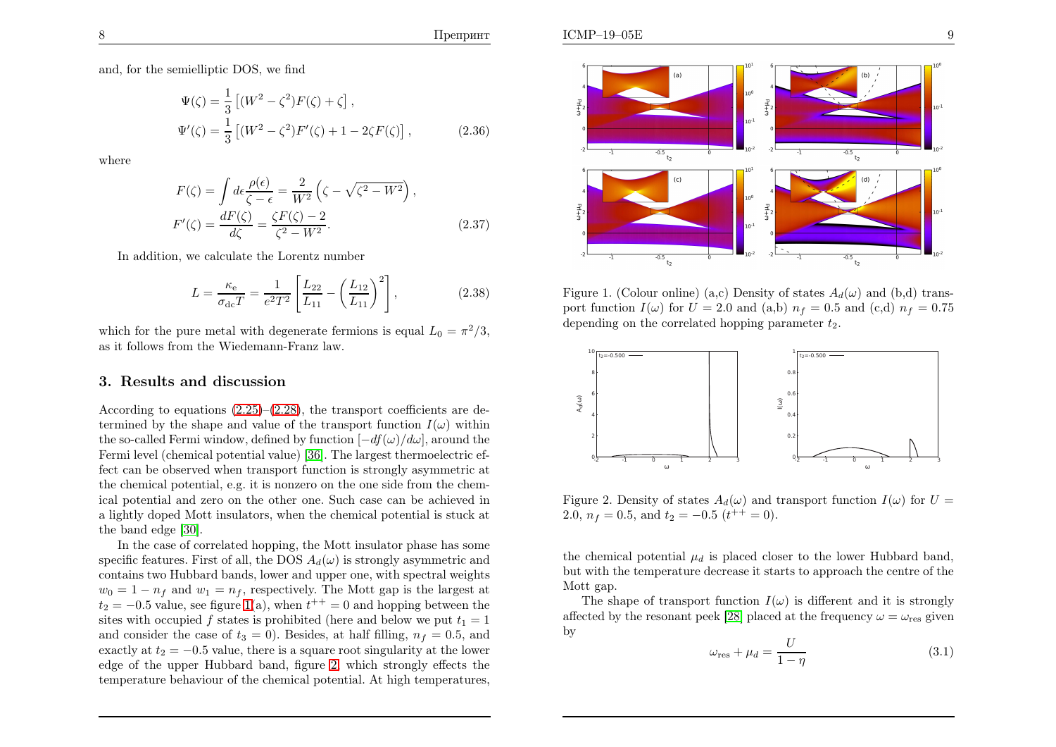and, for the semielliptic DOS, we find

$$
\Psi(\zeta) = \frac{1}{3} \left[ (W^2 - \zeta^2) F(\zeta) + \zeta \right],
$$
  
\n
$$
\Psi'(\zeta) = \frac{1}{3} \left[ (W^2 - \zeta^2) F'(\zeta) + 1 - 2\zeta F(\zeta) \right],
$$
\n(2.36)

where

$$
F(\zeta) = \int d\epsilon \frac{\rho(\epsilon)}{\zeta - \epsilon} = \frac{2}{W^2} \left( \zeta - \sqrt{\zeta^2 - W^2} \right),
$$
  
\n
$$
F'(\zeta) = \frac{dF(\zeta)}{d\zeta} = \frac{\zeta F(\zeta) - 2}{\zeta^2 - W^2}.
$$
\n(2.37)

In addition, we calculate the Lorentz number

$$
L = \frac{\kappa_{\rm e}}{\sigma_{\rm dc} T} = \frac{1}{e^2 T^2} \left[ \frac{L_{22}}{L_{11}} - \left( \frac{L_{12}}{L_{11}} \right)^2 \right],\tag{2.38}
$$

which for the pure metal with degenerate fermions is equal  $L_0 = \pi^2/3$ , as it follows from the Wiedemann-Franz law.

## 3. Results and discussion

According to equations  $(2.25)$ – $(2.28)$ , the transport coefficients are determined by the shape and value of the transport function  $I(\omega)$  within the so-called Fermi window, defined by function  $[-df(\omega)/d\omega]$ , around the Fermi level (chemical potential value) [\[36\]](#page-10-7). The largest thermoelectric effect can be observed when transport function is strongly asymmetric at the chemical potential, e.g. it is nonzero on the one side from the chemical potential and zero on the other one. Such case can be achieved in <sup>a</sup> lightly doped Mott insulators, when the chemical potential is stuck atthe band edge [\[30\]](#page-10-19).

In the case of correlated hopping, the Mott insulator <sup>p</sup>hase has somespecific features. First of all, the DOS  $A_d(\omega)$  is strongly asymmetric and contains two Hubbard bands, lower and upper one, with spectral weights $w_0 = 1 - n_f$  and  $w_1 = n_f$ , respectively. The Mott gap is the largest at  $t_2 = -0.5$  value, see figure [1](#page-5-1)(a), when  $t^{++} = 0$  and hopping between the sites with occupied f states is prohibited (here and below we put  $t_1 = 1$ ) and consider the case of  $t_3 = 0$ ). Besides, at half filling,  $n_f = 0.5$ , and exactly at  $t_2 = -0.5$  value, there is a square root singularity at the lower edge of the upper Hubbard band, figure [2,](#page-5-2) which strongly effects thetemperature behaviour of the chemical potential. At high temperatures,



<span id="page-5-2"></span><span id="page-5-1"></span><span id="page-5-0"></span>Figure 1. (Colour online) (a,c) Density of states  $A_d(\omega)$  and (b,d) transport function  $I(\omega)$  for  $U = 2.0$  and (a,b)  $n_f = 0.5$  and (c,d)  $n_f = 0.75$ depending on the correlated hopping parameter  $t_2$ .



<span id="page-5-3"></span>Figure 2. Density of states  $A_d(\omega)$  and transport function  $I(\omega)$  for  $U =$ 2.0,  $n_f = 0.5$ , and  $t_2 = -0.5$   $(t^{++} = 0)$ .

the chemical potential  $\mu_d$  is placed closer to the lower Hubbard band, but with the temperature decrease it starts to approac<sup>h</sup> the centre of theMott gap.

The shape of transport function  $I(\omega)$  is different and it is strongly affected by the resonant peek [\[28\]](#page-10-17) placed at the frequency  $\omega = \omega_{\text{res}}$  given by

$$
\omega_{\rm res} + \mu_d = \frac{U}{1 - \eta} \tag{3.1}
$$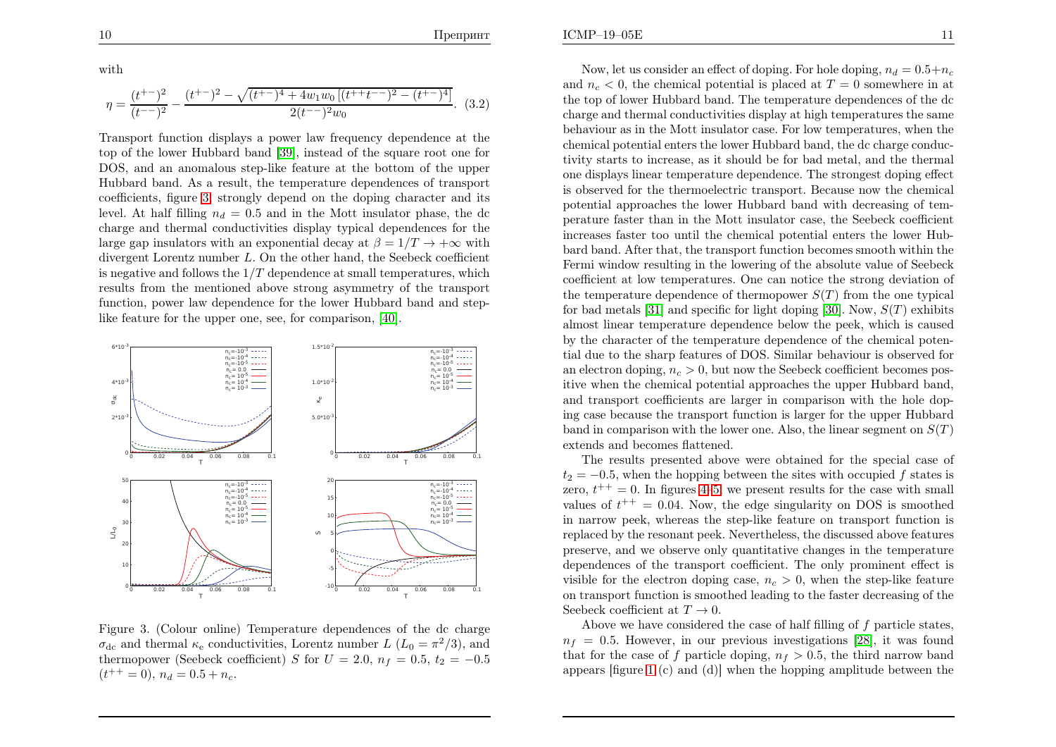with

$$
\eta = \frac{(t^{+-})^2}{(t^{--})^2} - \frac{(t^{+-})^2 - \sqrt{(t^{+-})^4 + 4w_1w_0\left[ (t^{++}t^{--})^2 - (t^{+-})^4 \right]}}{2(t^{--})^2w_0}.
$$
 (3.2)

<span id="page-6-0"></span>Transport function displays <sup>a</sup> power law frequency dependence at the top of the lower Hubbard band [\[39\]](#page-10-25), instead of the square root one for DOS, and an anomalous step-like feature at the bottom of the upper Hubbard band. As <sup>a</sup> result, the temperature dependences of transport coefficients, figure [3,](#page-6-0) strongly depend on the doping character and itslevel. At half filling  $n_d = 0.5$  and in the Mott insulator phase, the dc charge and thermal conductivities display typical dependences for thelarge gap insulators with an exponential decay at  $\beta = 1/T \rightarrow +\infty$  with<br>divergent Lorentz number L. On the other hand, the Seebeck coefficient divergent Lorentz number  $L$ . On the other hand, the Seebeck coefficient is negative and follows the  $1/T$  dependence at small temperatures, which results from the mentioned above strong asymmetry of the transport function, power law dependence for the lower Hubbard band and steplike feature for the upper one, see, for comparison, [\[40\]](#page-10-26).



Figure 3. (Colour online) Temperature dependences of the dc charge  $\sigma_{\rm dc}$  and thermal  $\kappa_{\rm e}$  conductivities, Lorentz number  $L(L_0 = \pi^2/3)$ , and thermopower (Seebeck coefficient) S for  $U = 2.0$ ,  $n_f = 0.5$ ,  $t_2 = -0.5$  $(t^{++}=0), n_d = 0.5 + n_c.$ 

Now, let us consider an effect of doping. For hole doping,  $n_d = 0.5 + n_c$ and  $n_c < 0$ , the chemical potential is placed at  $T = 0$  somewhere in at the top of lower Hubbard band. The temperature dependences of the dc charge and thermal conductivities display at high temperatures the same behaviour as in the Mott insulator case. For low temperatures, when the chemical potential enters the lower Hubbard band, the dc charge conductivity starts to increase, as it should be for bad metal, and the thermal one displays linear temperature dependence. The strongest doping effect is observed for the thermoelectric transport. Because now the chemical potential approaches the lower Hubbard band with decreasing of temperature faster than in the Mott insulator case, the Seebeck coefficient increases faster too until the chemical potential enters the lower Hubbard band. After that, the transport function becomes smooth within the Fermi window resulting in the lowering of the absolute value of Seebeck coefficient at low temperatures. One can notice the strong deviation of the temperature dependence of thermopower  $S(T)$  from the one typical for bad metals [\[31\]](#page-10-20) and specific for light doping [\[30\]](#page-10-19). Now,  $S(T)$  exhibits almost linear temperature dependence below the peek, which is caused by the character of the temperature dependence of the chemical potential due to the sharp features of DOS. Similar behaviour is observed foran electron doping,  $n_c > 0$ , but now the Seebeck coefficient becomes pos-<br>iting when the sharing landaritied are not as the summer Highland hand itive when the chemical potential approaches the upper Hubbard band, and transport coefficients are larger in comparison with the hole doping case because the transport function is larger for the upper Hubbardband in comparison with the lower one. Also, the linear segment on  $S(T)$ extends and becomes flattened.

The results presented above were obtained for the special case of  $t_2 = -0.5$ , when the hopping between the sites with occupied f states is zero,  $t^{++} = 0$ . In figures [4–](#page-7-0)[5,](#page-7-1) we present results for the case with small values of  $t^{++} = 0.04$ . Now, the edge singularity on DOS is smoothed in narrow peek, whereas the step-like feature on transport function is replaced by the resonant peek. Nevertheless, the discussed above features preserve, and we observe only quantitative changes in the temperature dependences of the transport coefficient. The only prominent effect isvisible for the electron doping case,  $n_c > 0$ , when the step-like feature on transport function is smoothed leading to the faster decreasing of theSeebeck coefficient at  $T \to 0$ .<br>A hove we have considered

Above we have considered the case of half filling of  $f$  particle states,  $n_f = 0.5$ . However, in our previous investigations [\[28\]](#page-10-17), it was found that for the case of f particle doping,  $n_f > 0.5$ , the third narrow band appears [figure [1](#page-5-1) (c) and (d)] when the hopping amplitude between the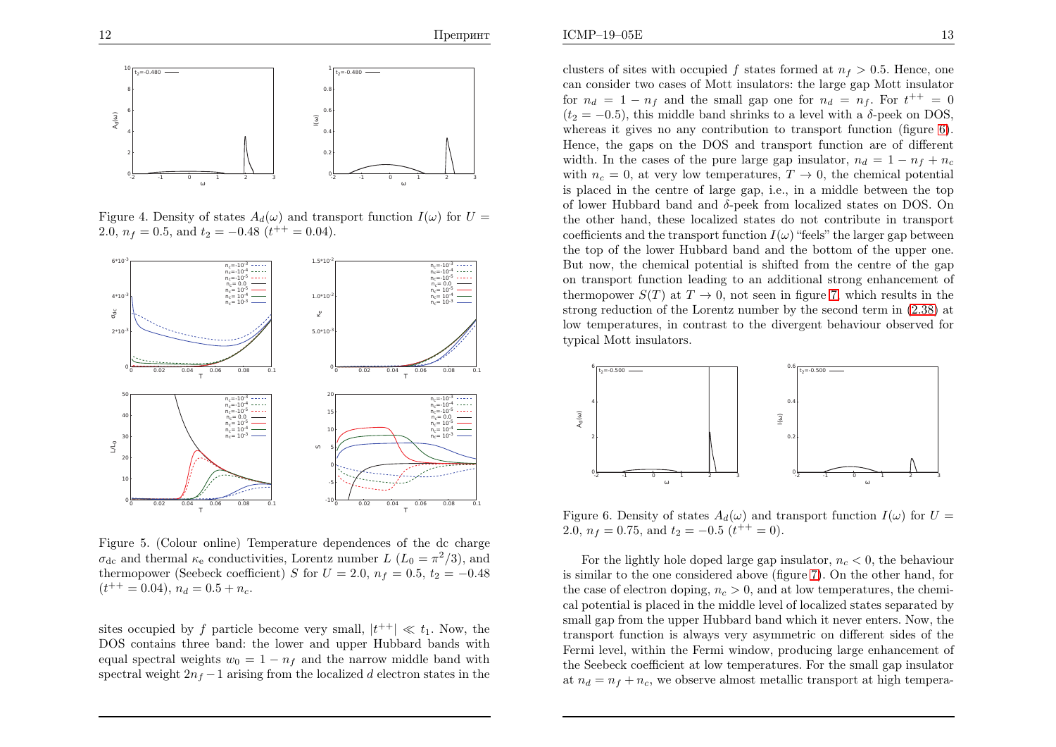

Figure 4. Density of states  $A_d(\omega)$  and transport function  $I(\omega)$  for  $U=$ 2.0,  $n_f = 0.5$ , and  $t_2 = -0.48$  ( $t^{++} = 0.04$ ).



Figure 5. (Colour online) Temperature dependences of the dc charge  $\sigma_{\rm dc}$  and thermal  $\kappa_{\rm e}$  conductivities, Lorentz number  $L(L_0 = \pi^2/3)$ , and thermopower (Seebeck coefficient) S for  $U = 2.0$ ,  $n_f = 0.5$ ,  $t_2 = -0.48$  $(t^{++} = 0.04), n_d = 0.5 + n_c.$ 

sites occupied by f particle become very small,  $|t^{++}| \ll t_1$ . Now, the DOS contains three band: the lower and upper Hubbard bands withequal spectral weights  $w_0 = 1 - n_f$  and the narrow middle band with spectral weight  $2n_f - 1$  arising from the localized d electron states in the

clusters of sites with occupied f states formed at  $n_f > 0.5$ . Hence, one can consider two cases of Mott insulators: the large gap Mott insulatorfor  $n_d = 1 - n_f$  and the small gap one for  $n_d = n_f$ . For  $t^{++} = 0$  $(t<sub>2</sub> = -0.5)$ , this middle band shrinks to a level with a δ-peek on DOS, whereas it <sup>g</sup>ives no any contribution to transport function (figure [6\)](#page-7-2). Hence, the gaps on the DOS and transport function are of differentwidth. In the cases of the pure large gap insulator,  $n_d = 1 - n_f + n_c$ with  $n_c = 0$ , at very low temperatures,  $T \to 0$ , the chemical potential<br>is placed in the centre of large gap i.e. in a middle between the top is <sup>p</sup>laced in the centre of large gap, i.e., in <sup>a</sup> middle between the top of lower Hubbard band and <sup>δ</sup>-pee<sup>k</sup> from localized states on DOS. On the other hand, these localized states do not contribute in transportcoefficients and the transport function  $I(\omega)$  "feels" the larger gap between the top of the lower Hubbard band and the bottom of the upper one. But now, the chemical potential is shifted from the centre of the gap on transport function leading to an additional strong enhancement of thermopower  $S(T)$  at  $T \to 0$ , not seen in figure [7](#page-8-0), which results in the second regard regard regards of the Lorentz number by the second term in (2.38) at strong reduction of the Lorentz number by the second term in [\(2.38\)](#page-5-3) at low temperatures, in contrast to the divergent behaviour observed fortypical Mott insulators.

<span id="page-7-2"></span><span id="page-7-1"></span><span id="page-7-0"></span>

Figure 6. Density of states  $A_d(\omega)$  and transport function  $I(\omega)$  for  $U=$ 2.0,  $n_f = 0.75$ , and  $t_2 = -0.5$   $(t^{++} = 0)$ .

For the lightly hole doped large gap insulator,  $n_c < 0$ , the behaviour is similar to the one considered above (figure [7\)](#page-8-0). On the other hand, for the case of electron doping,  $n_c > 0$ , and at low temperatures, the chemical potential is <sup>p</sup>laced in the middle level of localized states separated by small gap from the upper Hubbard band which it never enters. Now, the transport function is always very asymmetric on different sides of the Fermi level, within the Fermi window, producing large enhancement of the Seebeck coefficient at low temperatures. For the small gap insulator at  $n_d = n_f + n_c$ , we observe almost metallic transport at high tempera-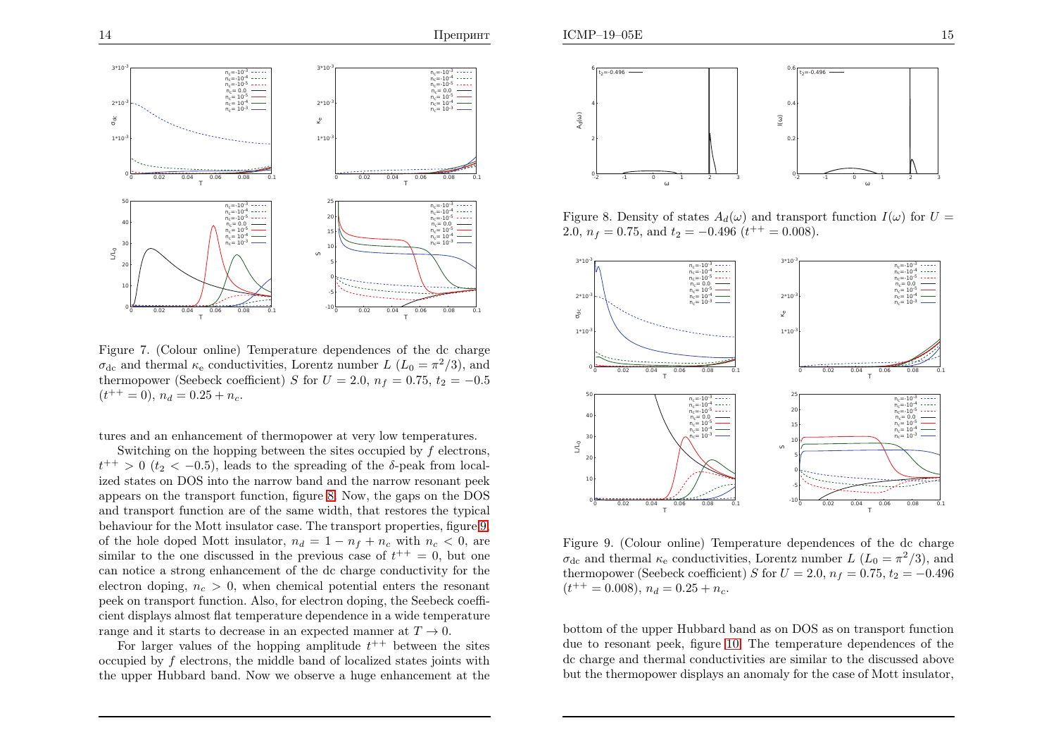

Figure 7. (Colour online) Temperature dependences of the dc charge  $\sigma_{\rm dc}$  and thermal  $\kappa_{\rm e}$  conductivities, Lorentz number  $L(L_0 = \pi^2/3)$ , and there are  $(S_{\rm c} \text{th})$  and  $(S_{\rm c} \text{th})$ ,  $S_{\rm c}$  for  $L$  and  $S_{\rm c}$  and  $S_{\rm c}$ thermopower (Seebeck coefficient) S for  $U = 2.0$ ,  $n_f = 0.75$ ,  $t_2 = -0.5$  $(t^{++}=0), n_d = 0.25 + n_c.$ 

tures and an enhancement of thermopower at very low temperatures.

Switching on the hopping between the sites occupied by  $f$  electrons,  $t^{++} > 0$  ( $t_2 < -0.5$ ), leads to the spreading of the  $\delta$ -peak from localized states on DOS into the narrow band and the narrow resonant pee<sup>k</sup> appears on the transport function, figure [8](#page-8-1). Now, the gaps on the DOS and transport function are of the same width, that restores the typical behaviour for the Mott insulator case. The transport properties, figure [9,](#page-8-2) of the hole doped Mott insulator,  $n_d = 1 - n_f + n_c$  with  $n_c < 0$ , are similar to the one discussed in the previous case of  $t^{++} = 0$ , but one can notice <sup>a</sup> strong enhancement of the dc charge conductivity for theelectron doping,  $n_c > 0$ , when chemical potential enters the resonant pee<sup>k</sup> on transport function. Also, for electron doping, the Seebeck coefficient displays almost flat temperature dependence in <sup>a</sup> wide temperaturerange and it starts to decrease in an expected manner at  $T \rightarrow$ 

ge and it starts to decrease in an expected manner at  $T \to 0$ .<br>For larger values of the hopping amplitude  $t^{++}$  between the sites occupied by  $f$  electrons, the middle band of localized states joints with the upper Hubbard band. Now we observe <sup>a</sup> huge enhancement at the



<span id="page-8-1"></span><span id="page-8-0"></span>Figure 8. Density of states  $A_d(\omega)$  and transport function  $I(\omega)$  for  $U =$ 2.0,  $n_f = 0.75$ , and  $t_2 = -0.496$  ( $t^{++} = 0.008$ ).

<span id="page-8-2"></span>

Figure 9. (Colour online) Temperature dependences of the dc charge  $\sigma_{\rm dc}$  and thermal  $\kappa_{\rm e}$  conductivities, Lorentz number  $L(L_0 = \pi^2/3)$ , and thermopower (Seebeck coefficient) S for  $U = 2.0$ ,  $n_f = 0.75$ ,  $t_2 = -0.496$  $(t^{++} = 0.008), n_d = 0.25 + n_c.$ 

bottom of the upper Hubbard band as on DOS as on transport function due to resonant peek, figure [10](#page-9-7). The temperature dependences of the dc charge and thermal conductivities are similar to the discussed abovebut the thermopower displays an anomaly for the case of Mott insulator,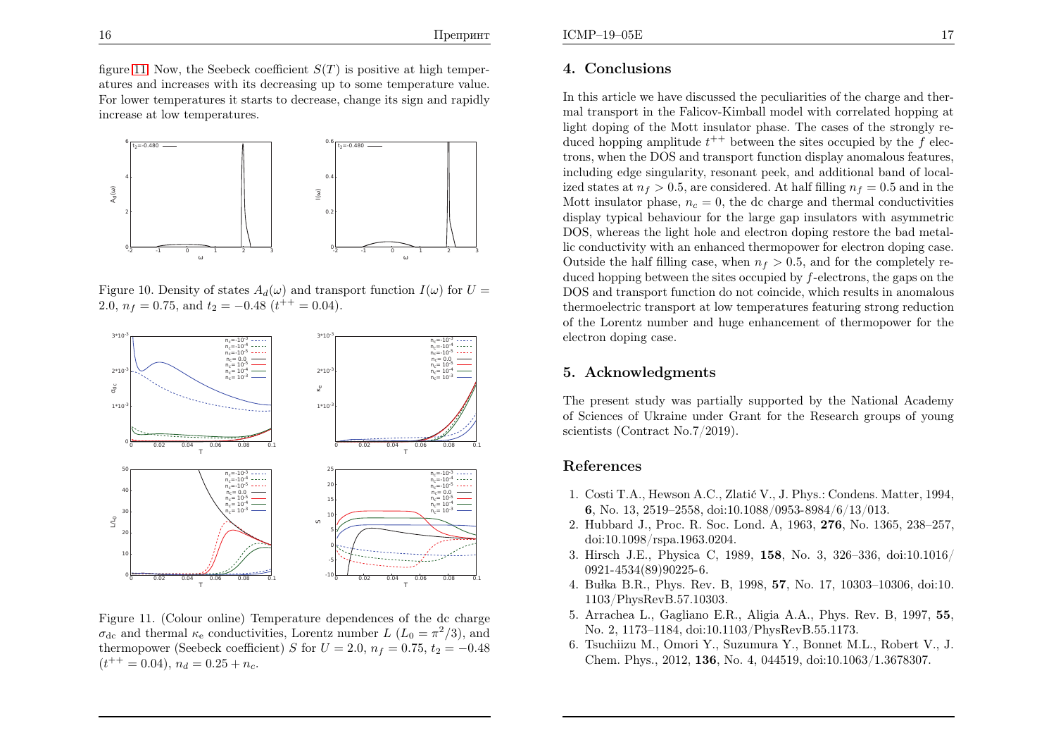figure [11.](#page-9-8) Now, the Seebeck coefficient  $S(T)$  is positive at high temper atures and increases with its decreasing up to some temperature value. For lower temperatures it starts to decrease, change its sign and rapidlyincrease at low temperatures.



Figure 10. Density of states  $A_d(\omega)$  and transport function  $I(\omega)$  for  $U=$ 2.0,  $n_f = 0.75$ , and  $t_2 = -0.48$  ( $t^{++} = 0.04$ ).



Figure 11. (Colour online) Temperature dependences of the dc charge $\sigma_{\rm dc}$  and thermal  $\kappa_{\rm e}$  conductivities, Lorentz number  $L(L_0 = \pi^2/3)$ , and thermopower (Seebeck coefficient) S for  $U = 2.0$ ,  $n_f = 0.75$ ,  $t_2 = -0.48$  $(t^{++}=0.04), n_d = 0.25 + n_c.$ 

## 4. Conclusions

<span id="page-9-7"></span><span id="page-9-6"></span><span id="page-9-5"></span><span id="page-9-4"></span><span id="page-9-3"></span><span id="page-9-2"></span><span id="page-9-1"></span><span id="page-9-0"></span>In this article we have discussed the peculiarities of the charge and thermal transport in the Falicov-Kimball model with correlated hopping at light doping of the Mott insulator <sup>p</sup>hase. The cases of the strongly reduced hopping amplitude  $t^{++}$  between the sites occupied by the  $f$  electrons, when the DOS and transport function display anomalous features, including edge singularity, resonant peek, and additional band of localized states at  $n_f > 0.5$ , are considered. At half filling  $n_f = 0.5$  and in the Mott insulator phase,  $n_c = 0$ , the dc charge and thermal conductivities display typical behaviour for the large gap insulators with asymmetric DOS, whereas the light hole and electron doping restore the bad metallic conductivity with an enhanced thermopower for electron doping case. Outside the half filling case, when  $n_f > 0.5$ , and for the completely reduced hopping between the sites occupied by  $f$ -electrons, the gaps on the DOS and transport function do not coincide, which results in anomalous thermoelectric transport at low temperatures featuring strong reduction of the Lorentz number and huge enhancement of thermopower for theelectron doping case.

## <span id="page-9-8"></span>5. Acknowledgments

The present study was partially supported by the National Academy of Sciences of Ukraine under Grant for the Research groups of youngscientists (Contract No.7/2019).

## References

- 1. Costi T.A., Hewson A.C., Zlatić V., J. Phys.: Condens. Matter, 1994, <sup>6</sup>, No. 13, 2519–2558, doi:10.1088/0953-8984/6/13/013.
- 2. Hubbard J., Proc. R. Soc. Lond. A, 1963, <sup>276</sup>, No. 1365, 238–257, doi:10.1098/rspa.1963.0204.
- 3. Hirsch J.E., Physica C, 1989, <sup>158</sup>, No. 3, 326–336, doi:10.1016/0921-4534(89)90225-6.
- 4. Bułka B.R., Phys. Rev. B, 1998, **57**, No. 17, 10303–10306, doi:10. 1103/PhysRevB.57.10303.
- 5. Arrachea L., Gagliano E.R., Aligia A.A., Phys. Rev. B, 1997, <sup>55</sup>, No. 2, 1173–1184, doi:10.1103/PhysRevB.55.1173.
- 6. Tsuchiizu M., Omori Y., Suzumura Y., Bonnet M.L., Robert V., J. Chem. Phys., 2012, <sup>136</sup>, No. 4, 044519, doi:10.1063/1.3678307.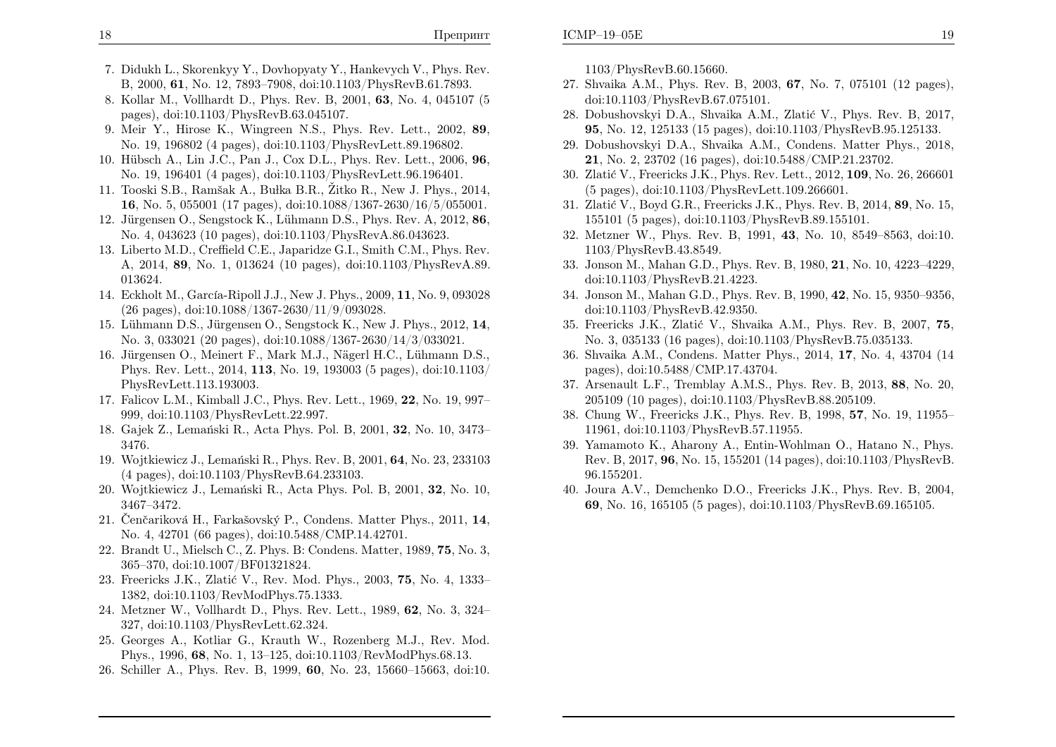- 7. Didukh L., Skorenkyy Y., Dovhopyaty Y., Hankevych V., Phys. Rev. B, 2000, <sup>61</sup>, No. 12, 7893–7908, doi:10.1103/PhysRevB.61.7893.
- 8. Kollar M., Vollhardt D., Phys. Rev. B, 2001, <sup>63</sup>, No. 4, <sup>045107</sup> (5pages), doi:10.1103/PhysRevB.63.045107.
- 9. Meir Y., Hirose K., Wingreen N.S., Phys. Rev. Lett., 2002, <sup>89</sup>, No. 19, <sup>196802</sup> (4 pages), doi:10.1103/PhysRevLett.89.196802.
- 10. Hübsch A., Lin J.C., Pan J., Cox D.L., Phys. Rev. Lett., 2006, 96, No. 19, <sup>196401</sup> (4 pages), doi:10.1103/PhysRevLett.96.196401.
- <span id="page-10-15"></span>11. Tooski S.B., Ramšak A., Bułka B.R., Žitko R., New J. Phys., 2014, <sup>16</sup>, No. 5, <sup>055001</sup> (17 pages), doi:10.1088/1367-2630/16/5/055001.
- 12. Jürgensen O., Sengstock K., Lühmann D.S., Phys. Rev. A, 2012,  $\bf{86}$ , No. 4, <sup>043623</sup> (10 pages), doi:10.1103/PhysRevA.86.043623.
- 13. Liberto M.D., Creffield C.E., Japaridze G.I., Smith C.M., Phys. Rev. A, 2014, <sup>89</sup>, No. 1, <sup>013624</sup> (10 pages), doi:10.1103/PhysRevA.89. 013624.
- 14. Eckholt M., García-Ripoll J.J., New J. Phys., 2009, **11**, No. 9, 093028 (26 pages), doi:10.1088/1367-2630/11/9/093028.
- 15. Lühmann D.S., Jürgensen O., Sengstock K., New J. Phys., 2012, 14, No. 3, <sup>033021</sup> (20 pages), doi:10.1088/1367-2630/14/3/033021.
- 16. Jürgensen O., Meinert F., Mark M.J., Nägerl H.C., Lühmann D.S., Phys. Rev. Lett., 2014, <sup>113</sup>, No. 19, <sup>193003</sup> (5 pages), doi:10.1103/PhysRevLett.113.193003.
- 17. Falicov L.M., Kimball J.C., Phys. Rev. Lett., 1969, <sup>22</sup>, No. 19, 997–999, doi:10.1103/PhysRevLett.22.997.
- 18. Gajek Z., Lemański R., Acta Phys. Pol. B, 2001, 32, No. 10, 3473– 3476.
- 19. Wojtkiewicz J., Lemański R., Phys. Rev. B, 2001, 64, No. 23, 233103 (4 pages), doi:10.1103/PhysRevB.64.233103.
- 20. Wojtkiewicz J., Lemański R., Acta Phys. Pol. B, 2001, 32, No. 10, 3467–3472.
- 21. Čenčariková H., Farkašovský P., Condens. Matter Phys., 2011, 14, No. 4, <sup>42701</sup> (66 pages), doi:10.5488/CMP.14.42701.
- 22. Brandt U., Mielsch C., Z. Phys. B: Condens. Matter, 1989, <sup>75</sup>, No. 3, 365–370, doi:10.1007/BF01321824.
- 23. Freericks J.K., Zlatić V., Rev. Mod. Phys., 2003, **75**, No. 4, 1333– 1382, doi:10.1103/RevModPhys.75.1333.
- 24. Metzner W., Vollhardt D., Phys. Rev. Lett., 1989, <sup>62</sup>, No. 3, 324–327, doi:10.1103/PhysRevLett.62.324.
- 25. Georges A., Kotliar G., Krauth W., Rozenberg M.J., Rev. Mod. Phys., 1996, <sup>68</sup>, No. 1, 13–125, doi:10.1103/RevModPhys.68.13.
- 26. Schiller A., Phys. Rev. B, 1999, <sup>60</sup>, No. 23, 15660–15663, doi:10.

<span id="page-10-18"></span><span id="page-10-17"></span><span id="page-10-16"></span><span id="page-10-2"></span><span id="page-10-1"></span><span id="page-10-0"></span>1103/PhysRevB.60.15660.

- 27. Shvaika A.M., Phys. Rev. B, 2003, <sup>67</sup>, No. 7, <sup>075101</sup> (12 pages), doi:10.1103/PhysRevB.67.075101.
- 28. Dobushovskyi D.A., Shvaika A.M., Zlatić V., Phys. Rev. B, 2017, <sup>95</sup>, No. 12, <sup>125133</sup> (15 pages), doi:10.1103/PhysRevB.95.125133.
- 29. Dobushovskyi D.A., Shvaika A.M., Condens. Matter Phys., 2018, <sup>21</sup>, No. 2, <sup>23702</sup> (16 pages), doi:10.5488/CMP.21.23702.
- <span id="page-10-26"></span><span id="page-10-25"></span><span id="page-10-24"></span><span id="page-10-23"></span><span id="page-10-22"></span><span id="page-10-21"></span><span id="page-10-20"></span><span id="page-10-19"></span><span id="page-10-14"></span><span id="page-10-13"></span><span id="page-10-12"></span><span id="page-10-11"></span><span id="page-10-10"></span><span id="page-10-9"></span><span id="page-10-8"></span><span id="page-10-7"></span><span id="page-10-6"></span><span id="page-10-5"></span><span id="page-10-4"></span><span id="page-10-3"></span>30. Zlatić V., Freericks J.K., Phys. Rev. Lett., 2012, 109, No. 26, 266601 (5 pages), doi:10.1103/PhysRevLett.109.266601.
- 31. Zlatić V., Boyd G.R., Freericks J.K., Phys. Rev. B, 2014, 89, No. 15, <sup>155101</sup> (5 pages), doi:10.1103/PhysRevB.89.155101.
- 32. Metzner W., Phys. Rev. B, 1991, <sup>43</sup>, No. 10, 8549–8563, doi:10. 1103/PhysRevB.43.8549.
- 33. Jonson M., Mahan G.D., Phys. Rev. B, 1980, <sup>21</sup>, No. 10, 4223–4229, doi:10.1103/PhysRevB.21.4223.
- 34. Jonson M., Mahan G.D., Phys. Rev. B, 1990, <sup>42</sup>, No. 15, 9350–9356, doi:10.1103/PhysRevB.42.9350.
- 35. Freericks J.K., Zlatić V., Shvaika A.M., Phys. Rev. B, 2007, 75, No. 3, <sup>035133</sup> (16 pages), doi:10.1103/PhysRevB.75.035133.
- 36. Shvaika A.M., Condens. Matter Phys., 2014, <sup>17</sup>, No. 4, <sup>43704</sup> (14pages), doi:10.5488/CMP.17.43704.
- 37. Arsenault L.F., Tremblay A.M.S., Phys. Rev. B, 2013, <sup>88</sup>, No. 20, <sup>205109</sup> (10 pages), doi:10.1103/PhysRevB.88.205109.
- 38. Chung W., Freericks J.K., Phys. Rev. B, 1998, <sup>57</sup>, No. 19, 11955–11961, doi:10.1103/PhysRevB.57.11955.
- 39. Yamamoto K., Aharony A., Entin-Wohlman O., Hatano N., Phys. Rev. B, 2017, <sup>96</sup>, No. 15, <sup>155201</sup> (14 pages), doi:10.1103/PhysRevB. 96.155201.
- 40. Joura A.V., Demchenko D.O., Freericks J.K., Phys. Rev. B, 2004, <sup>69</sup>, No. 16, <sup>165105</sup> (5 pages), doi:10.1103/PhysRevB.69.165105.